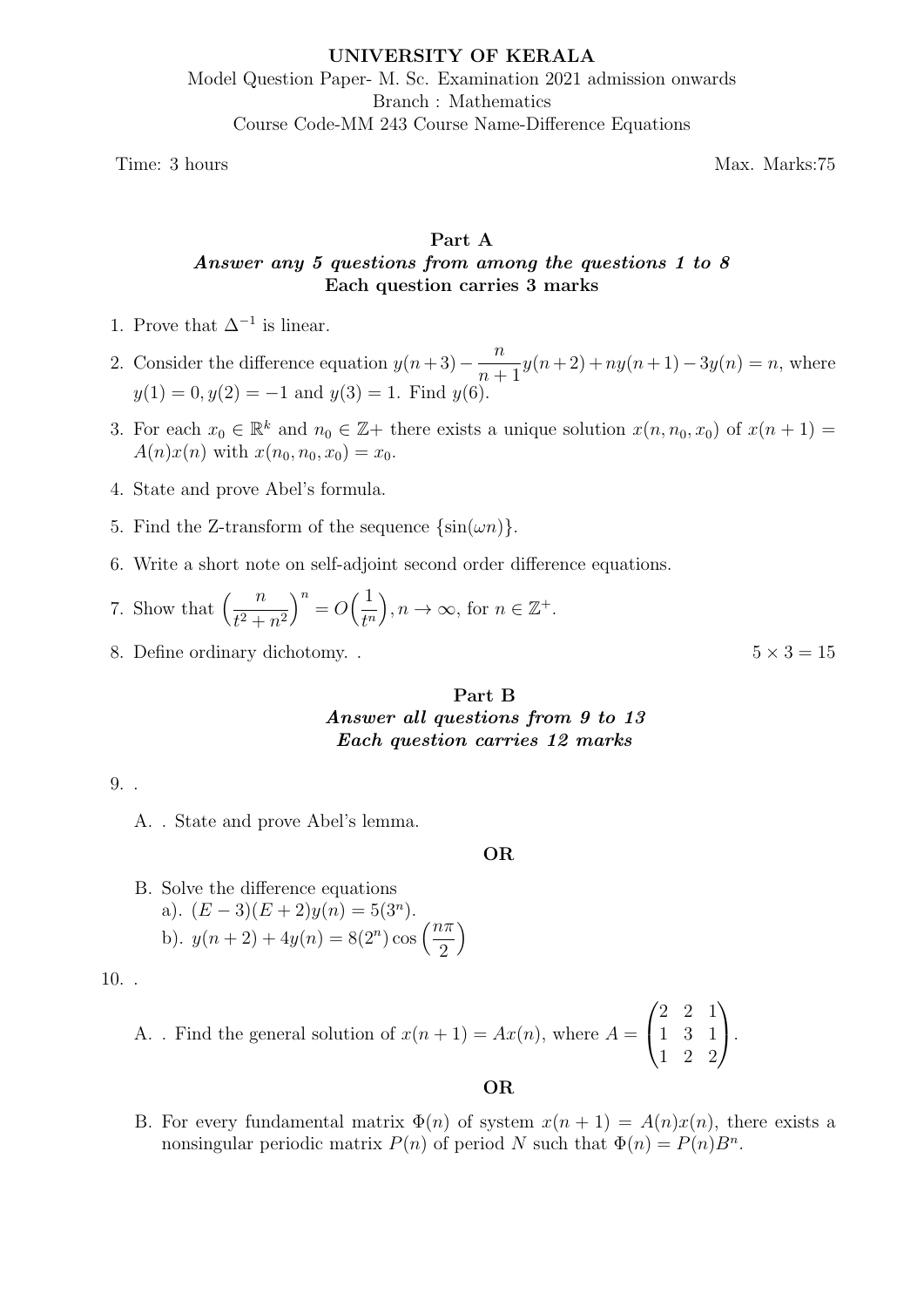# UNIVERSITY OF KERALA Model Question Paper- M. Sc. Examination 2021 admission onwards Branch : Mathematics Course Code-MM 243 Course Name-Difference Equations

Time: 3 hours Max. Marks:75

# Part A Answer any 5 questions from among the questions 1 to 8 Each question carries 3 marks

- 1. Prove that  $\Delta^{-1}$  is linear.
- 2. Consider the difference equation  $y(n+3) \frac{n}{n}$  $n+1$  $y(n+2) + ny(n+1) - 3y(n) = n$ , where  $y(1) = 0, y(2) = -1$  and  $y(3) = 1$ . Find  $y(6)$ .
- 3. For each  $x_0 \in \mathbb{R}^k$  and  $n_0 \in \mathbb{Z}$  there exists a unique solution  $x(n, n_0, x_0)$  of  $x(n + 1) =$  $A(n)x(n)$  with  $x(n_0, n_0, x_0) = x_0$ .
- 4. State and prove Abel's formula.
- 5. Find the Z-transform of the sequence  $\{\sin(\omega n)\}.$
- 6. Write a short note on self-adjoint second order difference equations.
- 7. Show that  $\left(\frac{n}{a}\right)$  $t^2 + n^2$  $\bigg)^n = O\bigg(\frac{1}{15}\bigg)$  $t^n$  $\bigg), n \to \infty$ , for  $n \in \mathbb{Z}^+$ .
- 8. Define ordinary dichotomy. .  $5 \times 3 = 15$

# Part B Answer all questions from 9 to 13 Each question carries 12 marks

9. .

A. . State and prove Abel's lemma.

### OR

B. Solve the difference equations a).  $(E-3)(E+2)y(n) = 5(3<sup>n</sup>)$ . b).  $y(n+2) + 4y(n) = 8(2^n) \cos\left(\frac{n\pi}{2}\right)$ 2  $\setminus$ 

10. .

A. Find the general solution of 
$$
x(n + 1) = Ax(n)
$$
, where  $A = \begin{pmatrix} 2 & 2 & 1 \\ 1 & 3 & 1 \\ 1 & 2 & 2 \end{pmatrix}$ .

### OR

B. For every fundamental matrix  $\Phi(n)$  of system  $x(n + 1) = A(n)x(n)$ , there exists a nonsingular periodic matrix  $P(n)$  of period N such that  $\Phi(n) = P(n)B^n$ .